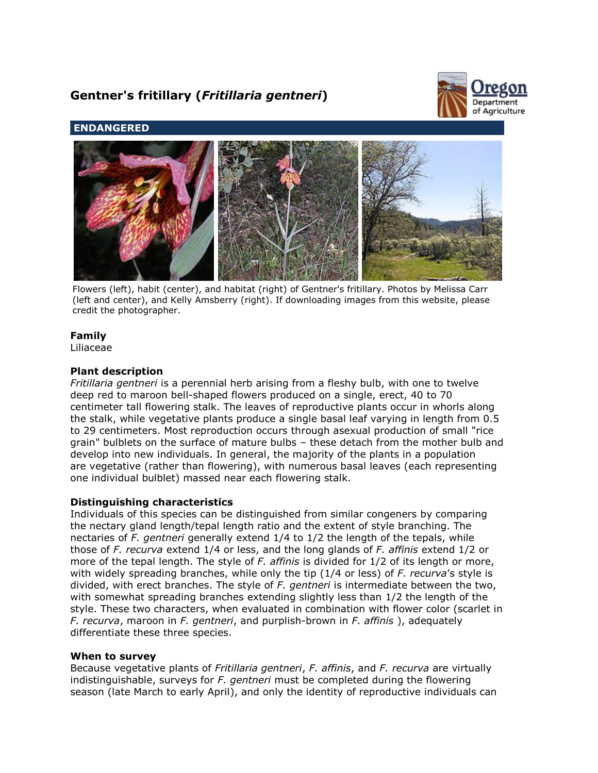# **Gentner's fritillary (***Fritillaria gentneri***)**



## **ENDANGERED**



Flowers (left), habit (center), and habitat (right) of Gentner's fritillary. Photos by Melissa Carr (left and center), and Kelly Amsberry (right). If downloading images from this website, please credit the photographer.

# **Family**

Liliaceae

## **Plant description**

*Fritillaria gentneri* is a perennial herb arising from a fleshy bulb, with one to twelve deep red to maroon bell-shaped flowers produced on a single, erect, 40 to 70 centimeter tall flowering stalk. The leaves of reproductive plants occur in whorls along the stalk, while vegetative plants produce a single basal leaf varying in length from 0.5 to 29 centimeters. Most reproduction occurs through asexual production of small "rice grain" bulblets on the surface of mature bulbs – these detach from the mother bulb and develop into new individuals. In general, the majority of the plants in a population are vegetative (rather than flowering), with numerous basal leaves (each representing one individual bulblet) massed near each flowering stalk.

## **Distinguishing characteristics**

Individuals of this species can be distinguished from similar congeners by comparing the nectary gland length/tepal length ratio and the extent of style branching. The nectaries of *F. gentneri* generally extend 1/4 to 1/2 the length of the tepals, while those of *F. recurva* extend 1/4 or less, and the long glands of *F. affinis* extend 1/2 or more of the tepal length. The style of *F. affinis* is divided for 1/2 of its length or more, with widely spreading branches, while only the tip (1/4 or less) of *F. recurva*'s style is divided, with erect branches. The style of *F. gentneri* is intermediate between the two, with somewhat spreading branches extending slightly less than 1/2 the length of the style. These two characters, when evaluated in combination with flower color (scarlet in *F. recurva*, maroon in *F. gentneri*, and purplish-brown in *F. affinis* ), adequately differentiate these three species.

## **When to survey**

Because vegetative plants of *Fritillaria gentneri*, *F. affinis*, and *F. recurva* are virtually indistinguishable, surveys for *F. gentneri* must be completed during the flowering season (late March to early April), and only the identity of reproductive individuals can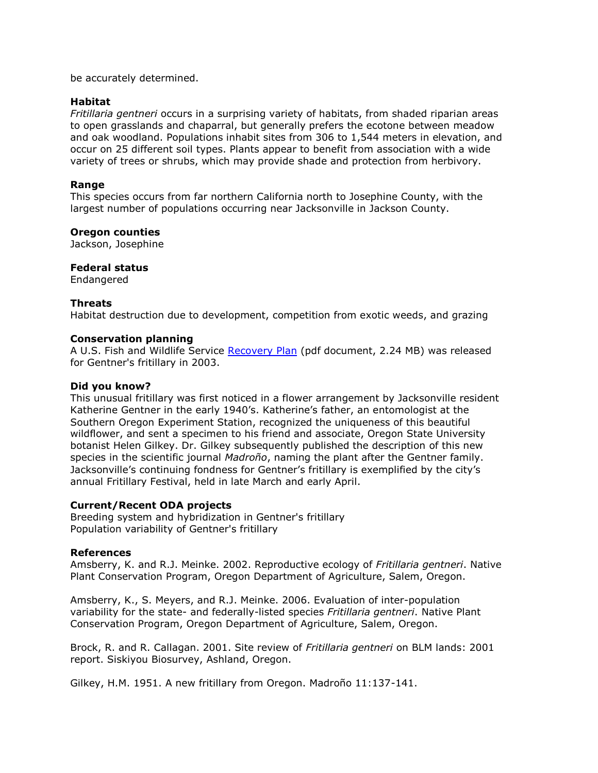be accurately determined.

#### **Habitat**

*Fritillaria gentneri* occurs in a surprising variety of habitats, from shaded riparian areas to open grasslands and chaparral, but generally prefers the ecotone between meadow and oak woodland. Populations inhabit sites from 306 to 1,544 meters in elevation, and occur on 25 different soil types. Plants appear to benefit from association with a wide variety of trees or shrubs, which may provide shade and protection from herbivory.

## **Range**

This species occurs from far northern California north to Josephine County, with the largest number of populations occurring near Jacksonville in Jackson County.

#### **Oregon counties**

Jackson, Josephine

## **Federal status**

Endangered

## **Threats**

Habitat destruction due to development, competition from exotic weeds, and grazing

#### **Conservation planning**

A U.S. Fish and Wildlife Service [Recovery Plan](http://ecos.fws.gov/docs/recovery_plans/2003/030828.pdf) (pdf document, 2.24 MB) was released for Gentner's fritillary in 2003.

#### **Did you know?**

This unusual fritillary was first noticed in a flower arrangement by Jacksonville resident Katherine Gentner in the early 1940's. Katherine's father, an entomologist at the Southern Oregon Experiment Station, recognized the uniqueness of this beautiful wildflower, and sent a specimen to his friend and associate, Oregon State University botanist Helen Gilkey. Dr. Gilkey subsequently published the description of this new species in the scientific journal *Madroño*, naming the plant after the Gentner family. Jacksonville's continuing fondness for Gentner's fritillary is exemplified by the city's annual Fritillary Festival, held in late March and early April.

#### **Current/Recent ODA projects**

Breeding system and hybridization in Gentner's fritillary Population variability of Gentner's fritillary

#### **References**

Amsberry, K. and R.J. Meinke. 2002. Reproductive ecology of *Fritillaria gentneri*. Native Plant Conservation Program, Oregon Department of Agriculture, Salem, Oregon.

Amsberry, K., S. Meyers, and R.J. Meinke. 2006. Evaluation of inter-population variability for the state- and federally-listed species *Fritillaria gentneri*. Native Plant Conservation Program, Oregon Department of Agriculture, Salem, Oregon.

Brock, R. and R. Callagan. 2001. Site review of *Fritillaria gentneri* on BLM lands: 2001 report. Siskiyou Biosurvey, Ashland, Oregon.

Gilkey, H.M. 1951. A new fritillary from Oregon. Madroño 11:137-141.